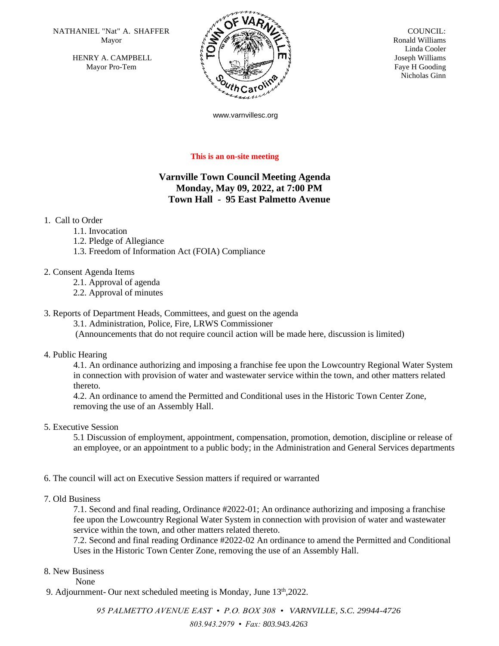NATHANIEL "Nat" A. SHAFFER  $\overline{N}$   $\overline{N}$   $\overline{N}$  COUNCIL: Mayor

HENRY A. CAMPBELL Mayor Pro-Tem



 Ronald Williams Linda Cooler Joseph Williams Faye H Gooding Nicholas Ginn

www.varnvillesc.org

## **This is an on-site meeting**

## **Varnville Town Council Meeting Agenda Monday, May 09, 2022, at 7:00 PM Town Hall - 95 East Palmetto Avenue**

## 1. Call to Order

- 1.1. Invocation
- 1.2. Pledge of Allegiance
- 1.3. Freedom of Information Act (FOIA) Compliance
- 2. Consent Agenda Items
	- 2.1. Approval of agenda
	- 2.2. Approval of minutes

## 3. Reports of Department Heads, Committees, and guest on the agenda

3.1. Administration, Police, Fire, LRWS Commissioner

(Announcements that do not require council action will be made here, discussion is limited)

4. Public Hearing

4.1. An ordinance authorizing and imposing a franchise fee upon the Lowcountry Regional Water System in connection with provision of water and wastewater service within the town, and other matters related thereto.

4.2. An ordinance to amend the Permitted and Conditional uses in the Historic Town Center Zone, removing the use of an Assembly Hall.

5. Executive Session

5.1 Discussion of employment, appointment, compensation, promotion, demotion, discipline or release of an employee, or an appointment to a public body; in the Administration and General Services departments

- 6. The council will act on Executive Session matters if required or warranted
- 7. Old Business

7.1. Second and final reading, Ordinance #2022-01; An ordinance authorizing and imposing a franchise fee upon the Lowcountry Regional Water System in connection with provision of water and wastewater service within the town, and other matters related thereto.

7.2. Second and final reading Ordinance #2022-02 An ordinance to amend the Permitted and Conditional Uses in the Historic Town Center Zone, removing the use of an Assembly Hall.

- 8. New Business
	- None
- 9. Adjournment- Our next scheduled meeting is Monday, June 13<sup>th</sup>, 2022.

*95 PALMETTO AVENUE EAST • P.O. BOX 308 • VARNVILLE, S.C. 29944-4726 803.943.2979 • Fax: 803.943.4263*